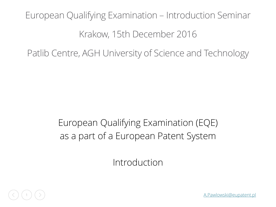# European Qualifying Examination – Introduction Seminar Krakow, 15th December 2016

Patlib Centre, AGH University of Science and Technology

#### European Qualifying Examination (EQE) as a part of a European Patent System

Introduction



1 [A.Pawlowski@eupatent.pl](mailto:A.Pawlowski@eupatent.pl)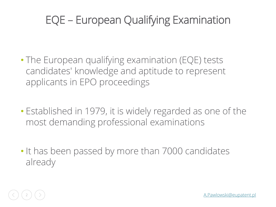# EQE – European Qualifying Examination

- The European qualifying examination (EQE) tests candidates' knowledge and aptitude to represent applicants in EPO proceedings
- Established in 1979, it is widely regarded as one of the most demanding professional examinations
- It has been passed by more than 7000 candidates already

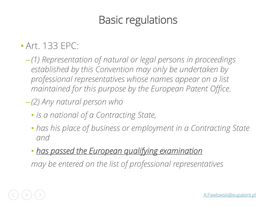# Basic regulations

#### • Art. 133 EPC:

- –*(1) Representation of natural or legal persons in proceedings established by this Convention may only be undertaken by professional representatives whose names appear on a list maintained for this purpose by the European Patent Office.*
- –*(2) Any natural person who* 
	- *is a national of a Contracting State,*
	- *has his place of business or employment in a Contracting State and*
	- *has passed the European qualifying examination*

*may be entered on the list of professional representatives*

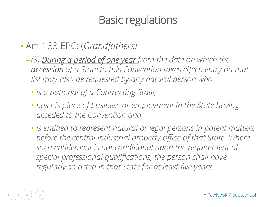# Basic regulations

#### • Art. 133 EPC: (*Grandfathers)*

- –*(3) During a period of one year from the date on which the accession of a State to this Convention takes effect, entry on that list may also be requested by any natural person who* 
	- *is a national of a Contracting State,*
	- *has his place of business or employment in the State having acceded to the Convention and*
	- *is entitled to represent natural or legal persons in patent matters*  before the central industrial property office of that State. Where *such entitlement is not conditional upon the requirement of special professional qualifications, the person shall have regularly so acted in that State for at least five years.*

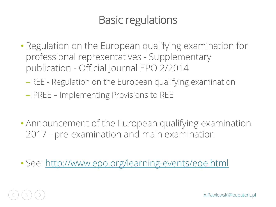# Basic regulations

- Regulation on the European qualifying examination for professional representatives - Supplementary publication - Official Journal EPO 2/2014
	- –REE Regulation on the European qualifying examination
	- –IPREE Implementing Provisions to REE
- Announcement of the European qualifying examination 2017 - pre-examination and main examination
- See:<http://www.epo.org/learning-events/eqe.html>

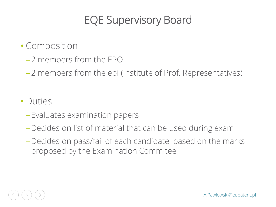# EQE Supervisory Board

- Composition
	- –2 members from the EPO
	- –2 members from the epi (Institute of Prof. Representatives)

#### • Duties

- –Evaluates examination papers
- –Decides on list of material that can be used during exam
- –Decides on pass/fail of each candidate, based on the marks proposed by the Examination Commitee

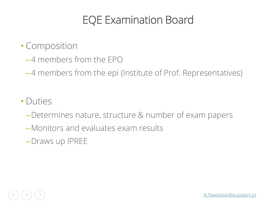### EQE Examination Board

- Composition
	- –4 members from the EPO

–4 members from the epi (Institute of Prof. Representatives)

- Duties
	- –Determines nature, structure & number of exam papers
	- –Monitors and evaluates exam results
	- –Draws up IPREE

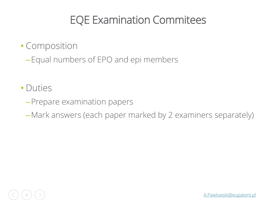# EQE Examination Commitees

- Composition
	- –Equal numbers of EPO and epi members
- Duties
	- –Prepare examination papers
	- –Mark answers (each paper marked by 2 examiners separately)

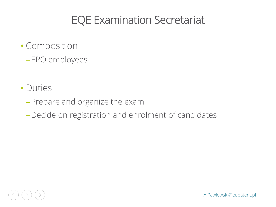# EQE Examination Secretariat

- Composition –EPO employees
- Duties
	- –Prepare and organize the exam
	- –Decide on registration and enrolment of candidates

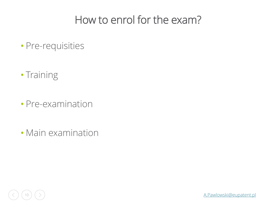### How to enrol for the exam?

- Pre-requisities
- Training
- Pre-examination
- Main examination

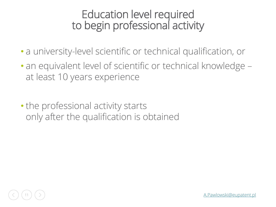#### Education level required to begin professional activity

- a university-level scientific or technical qualification, or
- an equivalent level of scientific or technical knowledge at least 10 years experience
- the professional activity starts only after the qualification is obtained

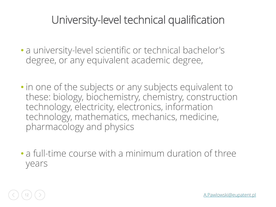# University-level technical qualification

- a university-level scientific or technical bachelor's degree, or any equivalent academic degree,
- in one of the subjects or any subjects equivalent to these: biology, biochemistry, chemistry, construction technology, electricity, electronics, information technology, mathematics, mechanics, medicine, pharmacology and physics
- a full-time course with a minimum duration of three years

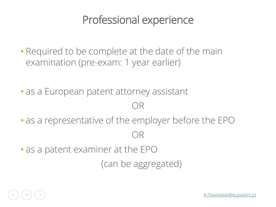#### Professional experience

- Required to be complete at the date of the main examination (pre-exam: 1 year earlier)
- as a European patent attorney assistant

#### OR

- as a representative of the employer before the EPO OR
- as a patent examiner at the EPO

(can be aggregated)

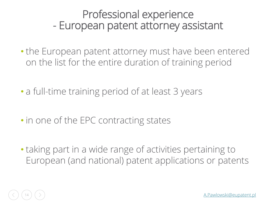#### Professional experience - European patent attorney assistant

- the European patent attorney must have been entered on the list for the entire duration of training period
- a full-time training period of at least 3 years
- in one of the EPC contracting states
- taking part in a wide range of activities pertaining to European (and national) patent applications or patents

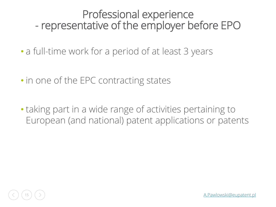#### Professional experience - representative of the employer before EPO

- a full-time work for a period of at least 3 years
- in one of the EPC contracting states
- taking part in a wide range of activities pertaining to European (and national) patent applications or patents

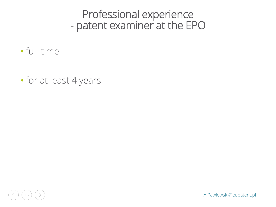#### Professional experience - patent examiner at the EPO

- full-time
- for at least 4 years

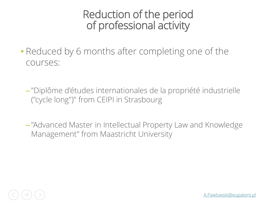#### Reduction of the period of professional activity

- Reduced by 6 months after completing one of the courses:
	- –"Diplôme d'études internationales de la propriété industrielle ("cycle long")" from CEIPI in Strasbourg
	- –"Advanced Master in Intellectual Property Law and Knowledge Management" from Maastricht University

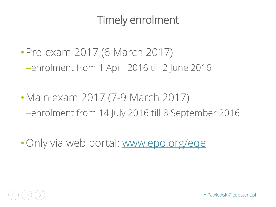# Timely enrolment

- Pre-exam 2017 (6 March 2017) –enrolment from 1 April 2016 till 2 June 2016
- Main exam 2017 (7-9 March 2017) –enrolment from 14 July 2016 till 8 September 2016
- Only via web portal: [www.epo.org/eqe](http://www.epo.org/eqe)

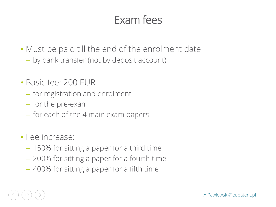### Exam fees

- Must be paid till the end of the enrolment date
	- by bank transfer (not by deposit account)
- Basic fee: 200 EUR
	- for registration and enrolment
	- for the pre-exam
	- for each of the 4 main exam papers
- Fee increase:
	- 150% for sitting a paper for a third time
	- 200% for sitting a paper for a fourth time
	- 400% for sitting a paper for a fifth time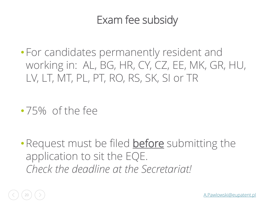### Exam fee subsidy

- For candidates permanently resident and working in: AL, BG, HR, CY, CZ, EE, MK, GR, HU, LV, LT, MT, PL, PT, RO, RS, SK, SI or TR
- •75% of the fee
- Request must be filed **before** submitting the application to sit the EQE. *Check the deadline at the Secretariat!*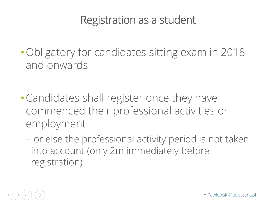#### Registration as a student

- Obligatory for candidates sitting exam in 2018 and onwards
- •Candidates shall register once they have commenced their professional activities or employment
	- or else the professional activity period is not taken into account (only 2m immediately before registration)